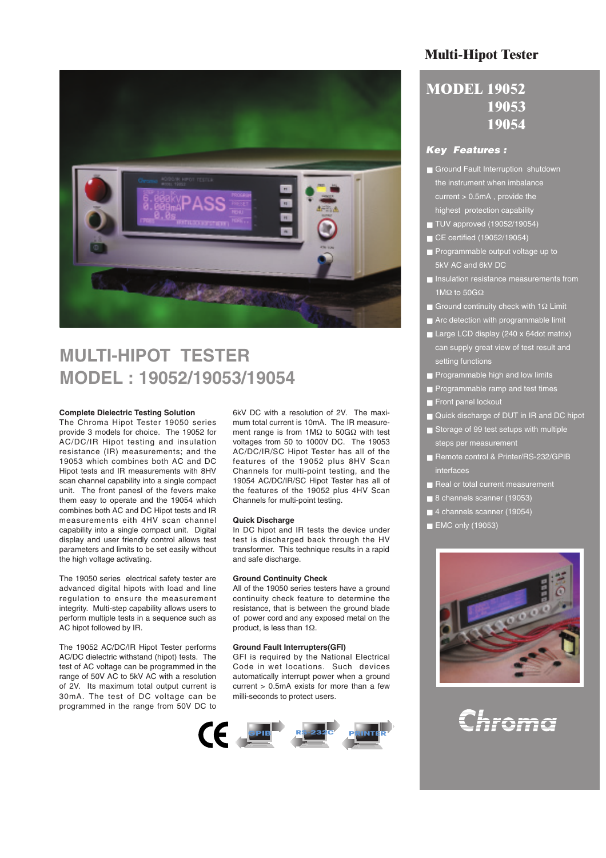

## **MULTI-HIPOT TESTER MODEL : 19052/19053/19054**

#### **Complete Dielectric Testing Solution**

The Chroma Hipot Tester 19050 series provide 3 models for choice. The 19052 for AC/DC/IR Hipot testing and insulation resistance (IR) measurements; and the 19053 which combines both AC and DC Hipot tests and IR measurements with 8HV scan channel capability into a single compact unit. The front panesl of the fevers make them easy to operate and the 19054 which combines both AC and DC Hipot tests and IR measurements eith 4HV scan channel capability into a single compact unit. Digital display and user friendly control allows test parameters and limits to be set easily without the high voltage activating.

The 19050 series electrical safety tester are advanced digital hipots with load and line regulation to ensure the measurement integrity. Multi-step capability allows users to perform multiple tests in a sequence such as AC hipot followed by IR.

The 19052 AC/DC/IR Hipot Tester performs AC/DC dielectric withstand (hipot) tests. The test of AC voltage can be programmed in the range of 50V AC to 5kV AC with a resolution of 2V. Its maximum total output current is 30mA. The test of DC voltage can be programmed in the range from 50V DC to

6kV DC with a resolution of 2V. The maximum total current is 10mA. The IR measurement range is from 1MΩ to 50GΩ with test voltages from 50 to 1000V DC. The 19053 AC/DC/IR/SC Hipot Tester has all of the features of the 19052 plus 8HV Scan Channels for multi-point testing, and the 19054 AC/DC/IR/SC Hipot Tester has all of the features of the 19052 plus 4HV Scan Channels for multi-point testing.

#### **Quick Discharge**

In DC hipot and IR tests the device under test is discharged back through the HV transformer. This technique results in a rapid and safe discharge.

#### **Ground Continuity Check**

All of the 19050 series testers have a ground continuity check feature to determine the resistance, that is between the ground blade of power cord and any exposed metal on the product, is less than 1Ω.

#### **Ground Fault Interrupters(GFI)**

GFI is required by the National Electrical Code in wet locations. Such devices automatically interrupt power when a ground current  $> 0.5$ mA exists for more than a few milli-seconds to protect users.



## **Multi-Hipot Tester**

## **MODEL 19052 19053 19054**

## *Key Features :*

- Ground Fault Interruption shutdown the instrument when imbalance current > 0.5mA , provide the highest protection capability
- TUV approved (19052/19054)
- CE certified (19052/19054)
- Programmable output voltage up to 5kV AC and 6kV DC
- Insulation resistance measurements from 1MΩ to 50GΩ
- Ground continuity check with 1 $\Omega$  Limit
- Arc detection with programmable limit
- Large LCD display (240 x 64dot matrix) can supply great view of test result and setting functions
- **Programmable high and low limits**
- Programmable ramp and test times
- Front panel lockout
- Quick discharge of DUT in IR and DC hipot
- Storage of 99 test setups with multiple steps per measurement
- Remote control & Printer/RS-232/GPIB interfaces
- Real or total current measurement
- 8 channels scanner (19053)
- 4 channels scanner (19054)
- **EMC only (19053)**



# Chroma